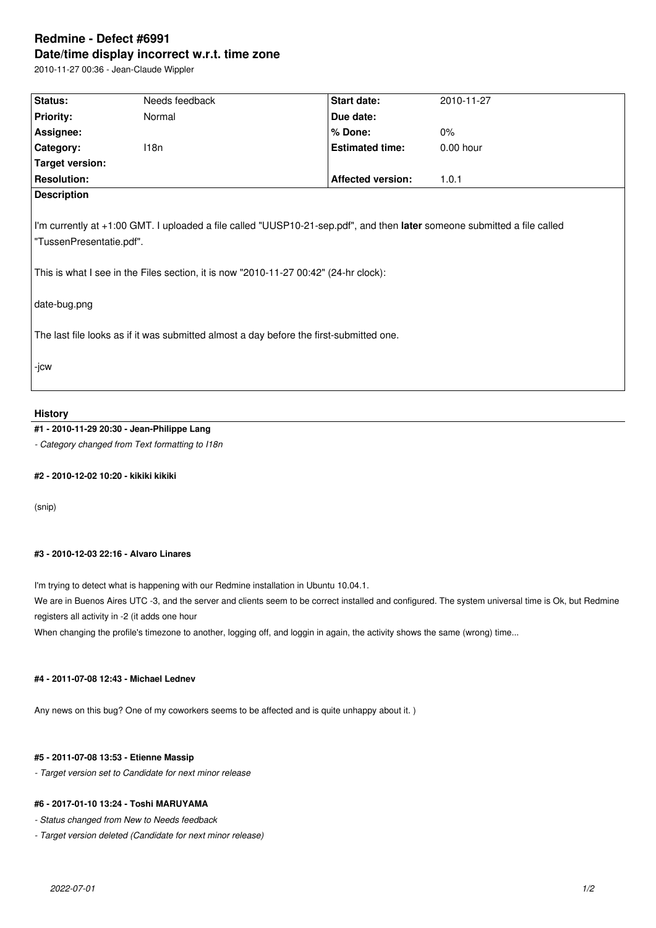# **Redmine - Defect #6991 Date/time display incorrect w.r.t. time zone**

2010-11-27 00:36 - Jean-Claude Wippler

| Status:                                                                                                                                                                                                                                                      | Needs feedback | Start date:              | 2010-11-27  |  |
|--------------------------------------------------------------------------------------------------------------------------------------------------------------------------------------------------------------------------------------------------------------|----------------|--------------------------|-------------|--|
| <b>Priority:</b>                                                                                                                                                                                                                                             | Normal         | Due date:                |             |  |
| Assignee:                                                                                                                                                                                                                                                    |                | % Done:                  | $0\%$       |  |
| Category:                                                                                                                                                                                                                                                    | 118n           | <b>Estimated time:</b>   | $0.00$ hour |  |
| Target version:                                                                                                                                                                                                                                              |                |                          |             |  |
| <b>Resolution:</b>                                                                                                                                                                                                                                           |                | <b>Affected version:</b> | 1.0.1       |  |
| <b>Description</b>                                                                                                                                                                                                                                           |                |                          |             |  |
| I'm currently at +1:00 GMT. I uploaded a file called "UUSP10-21-sep.pdf", and then later someone submitted a file called<br>"TussenPresentatie.pdf".<br>This is what I see in the Files section, it is now "2010-11-27 00:42" (24-hr clock):<br>date-bug.png |                |                          |             |  |
| The last file looks as if it was submitted almost a day before the first-submitted one.                                                                                                                                                                      |                |                          |             |  |
| -jcw                                                                                                                                                                                                                                                         |                |                          |             |  |

#### **History**

## **#1 - 2010-11-29 20:30 - Jean-Philippe Lang**

*- Category changed from Text formatting to I18n*

## **#2 - 2010-12-02 10:20 - kikiki kikiki**

(snip)

#### **#3 - 2010-12-03 22:16 - Alvaro Linares**

I'm trying to detect what is happening with our Redmine installation in Ubuntu 10.04.1.

We are in Buenos Aires UTC -3, and the server and clients seem to be correct installed and configured. The system universal time is Ok, but Redmine registers all activity in -2 (it adds one hour

When changing the profile's timezone to another, logging off, and loggin in again, the activity shows the same (wrong) time...

#### **#4 - 2011-07-08 12:43 - Michael Lednev**

Any news on this bug? One of my coworkers seems to be affected and is quite unhappy about it. )

#### **#5 - 2011-07-08 13:53 - Etienne Massip**

*- Target version set to Candidate for next minor release*

### **#6 - 2017-01-10 13:24 - Toshi MARUYAMA**

*- Status changed from New to Needs feedback*

*- Target version deleted (Candidate for next minor release)*